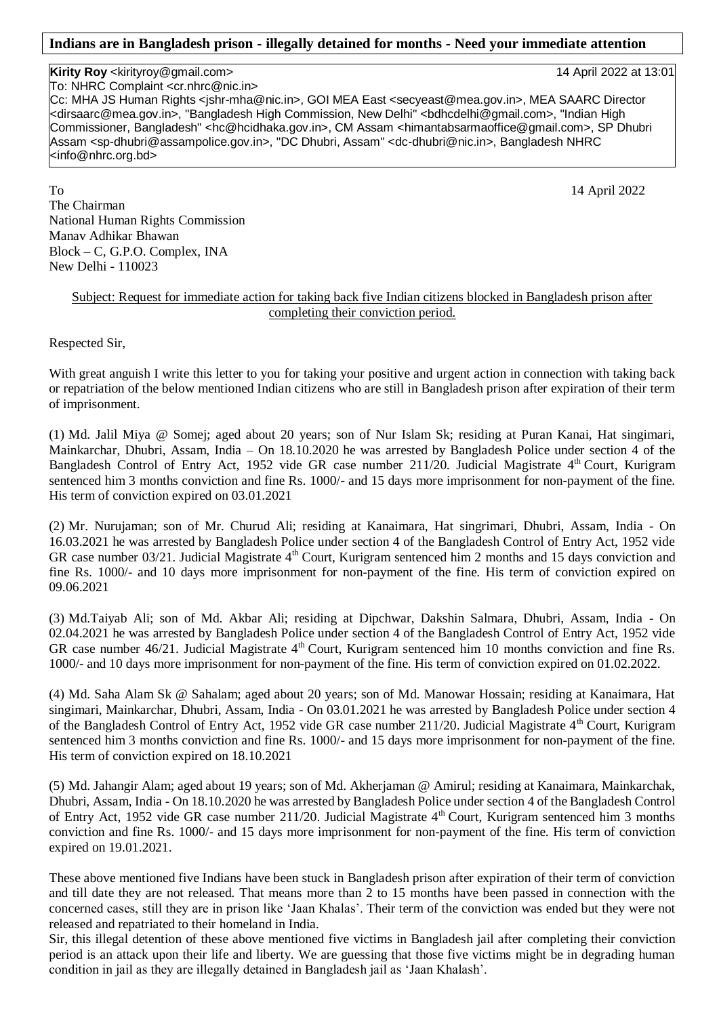## **Indians are in Bangladesh prison - illegally detained for months - Need your immediate attention**

## **Kirity Roy** <kirityroy@gmail.com> 14 April 2022 at 13:01

To: NHRC Complaint <cr.nhrc@nic.in> Cc: MHA JS Human Rights <jshr-mha@nic.in>, GOI MEA East <secyeast@mea.gov.in>, MEA SAARC Director <dirsaarc@mea.gov.in>, "Bangladesh High Commission, New Delhi" <bdhcdelhi@gmail.com>, "Indian High Commissioner, Bangladesh" <hc@hcidhaka.gov.in>, CM Assam <himantabsarmaoffice@gmail.com>, SP Dhubri Assam <sp-dhubri@assampolice.gov.in>, "DC Dhubri, Assam" <dc-dhubri@nic.in>, Bangladesh NHRC <info@nhrc.org.bd>

To 14 April 2022 The Chairman National Human Rights Commission Manav Adhikar Bhawan Block – C, G.P.O. Complex, INA New Delhi - 110023

## Subject: Request for immediate action for taking back five Indian citizens blocked in Bangladesh prison after completing their conviction period.

Respected Sir,

With great anguish I write this letter to you for taking your positive and urgent action in connection with taking back or repatriation of the below mentioned Indian citizens who are still in Bangladesh prison after expiration of their term of imprisonment.

(1) Md. Jalil Miya @ Somej; aged about 20 years; son of Nur Islam Sk; residing at Puran Kanai, Hat singimari, Mainkarchar, Dhubri, Assam, India – On 18.10.2020 he was arrested by Bangladesh Police under section 4 of the Bangladesh Control of Entry Act, 1952 vide GR case number 211/20. Judicial Magistrate  $4<sup>th</sup>$  Court, Kurigram sentenced him 3 months conviction and fine Rs. 1000/- and 15 days more imprisonment for non-payment of the fine. His term of conviction expired on 03.01.2021

(2) Mr. Nurujaman; son of Mr. Churud Ali; residing at Kanaimara, Hat singrimari, Dhubri, Assam, India - On 16.03.2021 he was arrested by Bangladesh Police under section 4 of the Bangladesh Control of Entry Act, 1952 vide GR case number 03/21. Judicial Magistrate 4<sup>th</sup> Court, Kurigram sentenced him 2 months and 15 days conviction and fine Rs. 1000/- and 10 days more imprisonment for non-payment of the fine. His term of conviction expired on 09.06.2021

(3) Md.Taiyab Ali; son of Md. Akbar Ali; residing at Dipchwar, Dakshin Salmara, Dhubri, Assam, India - On 02.04.2021 he was arrested by Bangladesh Police under section 4 of the Bangladesh Control of Entry Act, 1952 vide GR case number 46/21. Judicial Magistrate 4<sup>th</sup> Court, Kurigram sentenced him 10 months conviction and fine Rs. 1000/- and 10 days more imprisonment for non-payment of the fine. His term of conviction expired on 01.02.2022.

(4) Md. Saha Alam Sk @ Sahalam; aged about 20 years; son of Md. Manowar Hossain; residing at Kanaimara, Hat singimari, Mainkarchar, Dhubri, Assam, India - On 03.01.2021 he was arrested by Bangladesh Police under section 4 of the Bangladesh Control of Entry Act, 1952 vide GR case number 211/20. Judicial Magistrate 4<sup>th</sup> Court, Kurigram sentenced him 3 months conviction and fine Rs. 1000/- and 15 days more imprisonment for non-payment of the fine. His term of conviction expired on 18.10.2021

(5) Md. Jahangir Alam; aged about 19 years; son of Md. Akherjaman @ Amirul; residing at Kanaimara, Mainkarchak, Dhubri, Assam, India - On 18.10.2020 he was arrested by Bangladesh Police under section 4 of the Bangladesh Control of Entry Act, 1952 vide GR case number 211/20. Judicial Magistrate 4<sup>th</sup> Court, Kurigram sentenced him 3 months conviction and fine Rs. 1000/- and 15 days more imprisonment for non-payment of the fine. His term of conviction expired on 19.01.2021.

These above mentioned five Indians have been stuck in Bangladesh prison after expiration of their term of conviction and till date they are not released. That means more than 2 to 15 months have been passed in connection with the concerned cases, still they are in prison like 'Jaan Khalas'. Their term of the conviction was ended but they were not released and repatriated to their homeland in India.

Sir, this illegal detention of these above mentioned five victims in Bangladesh jail after completing their conviction period is an attack upon their life and liberty. We are guessing that those five victims might be in degrading human condition in jail as they are illegally detained in Bangladesh jail as 'Jaan Khalash'.